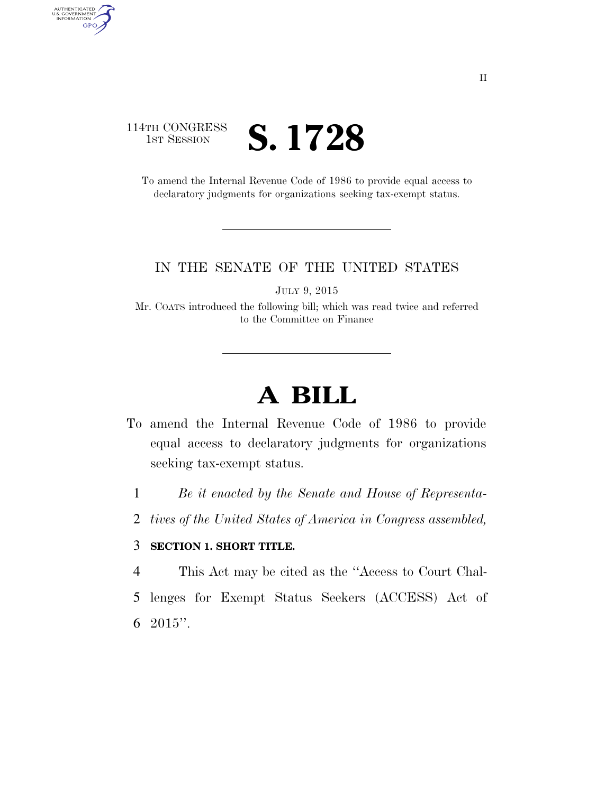### 114TH CONGRESS **IST SESSION S. 1728**

AUTHENTICATED<br>U.S. GOVERNMENT<br>INFORMATION

**GPO** 

To amend the Internal Revenue Code of 1986 to provide equal access to declaratory judgments for organizations seeking tax-exempt status.

#### IN THE SENATE OF THE UNITED STATES

JULY 9, 2015

Mr. COATS introduced the following bill; which was read twice and referred to the Committee on Finance

## **A BILL**

- To amend the Internal Revenue Code of 1986 to provide equal access to declaratory judgments for organizations seeking tax-exempt status.
	- 1 *Be it enacted by the Senate and House of Representa-*
	- 2 *tives of the United States of America in Congress assembled,*

#### 3 **SECTION 1. SHORT TITLE.**

- 4 This Act may be cited as the ''Access to Court Chal-
- 5 lenges for Exempt Status Seekers (ACCESS) Act of 6  $2015$ ".